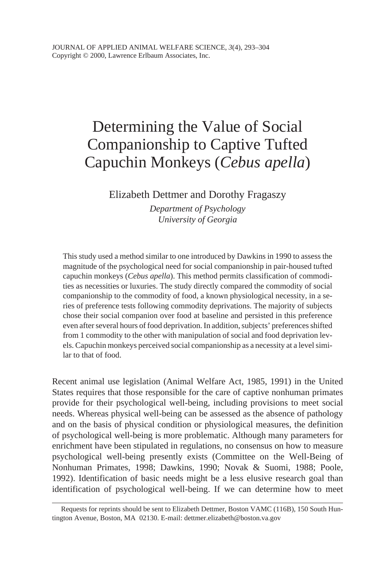# Determining the Value of Social Companionship to Captive Tufted Capuchin Monkeys (*Cebus apella*)

Elizabeth Dettmer and Dorothy Fragaszy

*Department of Psychology University of Georgia*

This study used a method similar to one introduced by Dawkins in 1990 to assess the magnitude of the psychological need for social companionship in pair-housed tufted capuchin monkeys (*Cebus apella*). This method permits classification of commodities as necessities or luxuries. The study directly compared the commodity of social companionship to the commodity of food, a known physiological necessity, in a series of preference tests following commodity deprivations. The majority of subjects chose their social companion over food at baseline and persisted in this preference even after several hours of food deprivation. In addition, subjects' preferences shifted from 1 commodity to the other with manipulation of social and food deprivation levels. Capuchin monkeys perceived social companionship as a necessity at a level similar to that of food.

Recent animal use legislation (Animal Welfare Act, 1985, 1991) in the United States requires that those responsible for the care of captive nonhuman primates provide for their psychological well-being, including provisions to meet social needs. Whereas physical well-being can be assessed as the absence of pathology and on the basis of physical condition or physiological measures, the definition of psychological well-being is more problematic. Although many parameters for enrichment have been stipulated in regulations, no consensus on how to measure psychological well-being presently exists (Committee on the Well-Being of Nonhuman Primates, 1998; Dawkins, 1990; Novak & Suomi, 1988; Poole, 1992). Identification of basic needs might be a less elusive research goal than identification of psychological well-being. If we can determine how to meet

Requests for reprints should be sent to Elizabeth Dettmer, Boston VAMC (116B), 150 South Huntington Avenue, Boston, MA 02130. E-mail: dettmer.elizabeth@boston.va.gov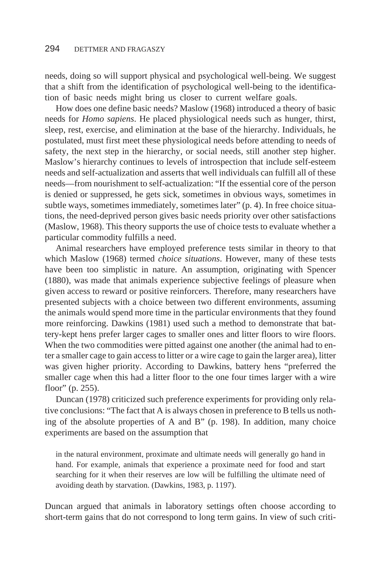needs, doing so will support physical and psychological well-being. We suggest that a shift from the identification of psychological well-being to the identification of basic needs might bring us closer to current welfare goals.

How does one define basic needs? Maslow (1968) introduced a theory of basic needs for *Homo sapiens*. He placed physiological needs such as hunger, thirst, sleep, rest, exercise, and elimination at the base of the hierarchy. Individuals, he postulated, must first meet these physiological needs before attending to needs of safety, the next step in the hierarchy, or social needs, still another step higher. Maslow's hierarchy continues to levels of introspection that include self-esteem needs and self-actualization and asserts that well individuals can fulfill all of these needs—from nourishment to self-actualization: "If the essential core of the person is denied or suppressed, he gets sick, sometimes in obvious ways, sometimes in subtle ways, sometimes immediately, sometimes later" (p. 4). In free choice situations, the need-deprived person gives basic needs priority over other satisfactions (Maslow, 1968). This theory supports the use of choice tests to evaluate whether a particular commodity fulfills a need.

Animal researchers have employed preference tests similar in theory to that which Maslow (1968) termed *choice situations*. However, many of these tests have been too simplistic in nature. An assumption, originating with Spencer (1880), was made that animals experience subjective feelings of pleasure when given access to reward or positive reinforcers. Therefore, many researchers have presented subjects with a choice between two different environments, assuming the animals would spend more time in the particular environments that they found more reinforcing. Dawkins (1981) used such a method to demonstrate that battery-kept hens prefer larger cages to smaller ones and litter floors to wire floors. When the two commodities were pitted against one another (the animal had to enter a smaller cage to gain access to litter or a wire cage to gain the larger area), litter was given higher priority. According to Dawkins, battery hens "preferred the smaller cage when this had a litter floor to the one four times larger with a wire floor" (p. 255).

Duncan (1978) criticized such preference experiments for providing only relative conclusions: "The fact that A is always chosen in preference to B tells us nothing of the absolute properties of A and B" (p. 198). In addition, many choice experiments are based on the assumption that

in the natural environment, proximate and ultimate needs will generally go hand in hand. For example, animals that experience a proximate need for food and start searching for it when their reserves are low will be fulfilling the ultimate need of avoiding death by starvation. (Dawkins, 1983, p. 1197).

Duncan argued that animals in laboratory settings often choose according to short-term gains that do not correspond to long term gains. In view of such criti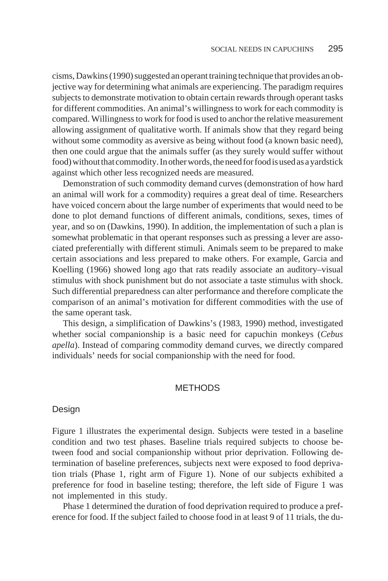cisms, Dawkins (1990) suggested an operant training technique that provides an objective way for determining what animals are experiencing. The paradigm requires subjects to demonstrate motivation to obtain certain rewards through operant tasks for different commodities. An animal's willingness to work for each commodity is compared. Willingness to work for food is used to anchor the relative measurement allowing assignment of qualitative worth. If animals show that they regard being without some commodity as aversive as being without food (a known basic need), then one could argue that the animals suffer (as they surely would suffer without food) without that commodity. In other words, the need for food is used as a vardstick against which other less recognized needs are measured.

Demonstration of such commodity demand curves (demonstration of how hard an animal will work for a commodity) requires a great deal of time. Researchers have voiced concern about the large number of experiments that would need to be done to plot demand functions of different animals, conditions, sexes, times of year, and so on (Dawkins, 1990). In addition, the implementation of such a plan is somewhat problematic in that operant responses such as pressing a lever are associated preferentially with different stimuli. Animals seem to be prepared to make certain associations and less prepared to make others. For example, Garcia and Koelling (1966) showed long ago that rats readily associate an auditory–visual stimulus with shock punishment but do not associate a taste stimulus with shock. Such differential preparedness can alter performance and therefore complicate the comparison of an animal's motivation for different commodities with the use of the same operant task.

This design, a simplification of Dawkins's (1983, 1990) method, investigated whether social companionship is a basic need for capuchin monkeys (*Cebus apella*). Instead of comparing commodity demand curves, we directly compared individuals' needs for social companionship with the need for food.

## **METHODS**

#### Design

Figure 1 illustrates the experimental design. Subjects were tested in a baseline condition and two test phases. Baseline trials required subjects to choose between food and social companionship without prior deprivation. Following determination of baseline preferences, subjects next were exposed to food deprivation trials (Phase 1, right arm of Figure 1). None of our subjects exhibited a preference for food in baseline testing; therefore, the left side of Figure 1 was not implemented in this study.

Phase 1 determined the duration of food deprivation required to produce a preference for food. If the subject failed to choose food in at least 9 of 11 trials, the du-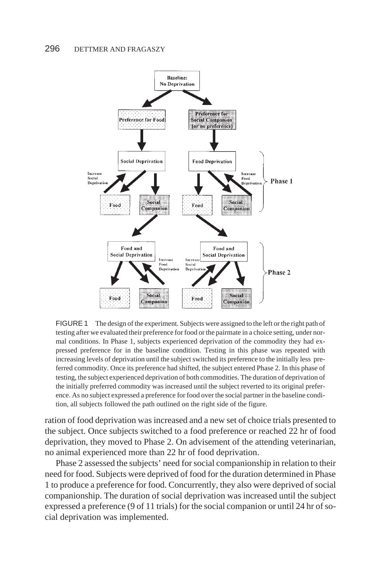

FIGURE 1 The design of the experiment. Subjects were assigned to the left or the right path of testing after we evaluated their preference for food or the pairmate in a choice setting, under normal conditions. In Phase 1, subjects experienced deprivation of the commodity they had expressed preference for in the baseline condition. Testing in this phase was repeated with increasing levels of deprivation until the subject switched its preference to the initially less preferred commodity. Once its preference had shifted, the subject entered Phase 2. In this phase of testing, the subject experienced deprivation of both commodities. The duration of deprivation of the initially preferred commodity was increased until the subject reverted to its original preference. As no subject expressed a preference for food over the social partner in the baseline condition, all subjects followed the path outlined on the right side of the figure.

ration of food deprivation was increased and a new set of choice trials presented to the subject. Once subjects switched to a food preference or reached 22 hr of food deprivation, they moved to Phase 2. On advisement of the attending veterinarian, no animal experienced more than 22 hr of food deprivation.

Phase 2 assessed the subjects' need for social companionship in relation to their need for food. Subjects were deprived of food for the duration determined in Phase 1 to produce a preference for food. Concurrently, they also were deprived of social companionship. The duration of social deprivation was increased until the subject expressed a preference (9 of 11 trials) for the social companion or until 24 hr of social deprivation was implemented.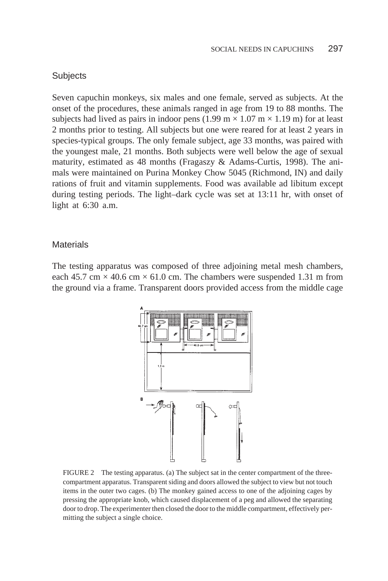#### **Subjects**

Seven capuchin monkeys, six males and one female, served as subjects. At the onset of the procedures, these animals ranged in age from 19 to 88 months. The subjects had lived as pairs in indoor pens  $(1.99 \text{ m} \times 1.07 \text{ m} \times 1.19 \text{ m})$  for at least 2 months prior to testing. All subjects but one were reared for at least 2 years in species-typical groups. The only female subject, age 33 months, was paired with the youngest male, 21 months. Both subjects were well below the age of sexual maturity, estimated as 48 months (Fragaszy & Adams-Curtis, 1998). The animals were maintained on Purina Monkey Chow 5045 (Richmond, IN) and daily rations of fruit and vitamin supplements. Food was available ad libitum except during testing periods. The light–dark cycle was set at 13:11 hr, with onset of light at 6:30 a.m.

#### **Materials**

The testing apparatus was composed of three adjoining metal mesh chambers, each 45.7 cm  $\times$  40.6 cm  $\times$  61.0 cm. The chambers were suspended 1.31 m from the ground via a frame. Transparent doors provided access from the middle cage



FIGURE 2 The testing apparatus. (a) The subject sat in the center compartment of the threecompartment apparatus. Transparent siding and doors allowed the subject to view but not touch items in the outer two cages. (b) The monkey gained access to one of the adjoining cages by pressing the appropriate knob, which caused displacement of a peg and allowed the separating door to drop. The experimenter then closed the door to the middle compartment, effectively permitting the subject a single choice.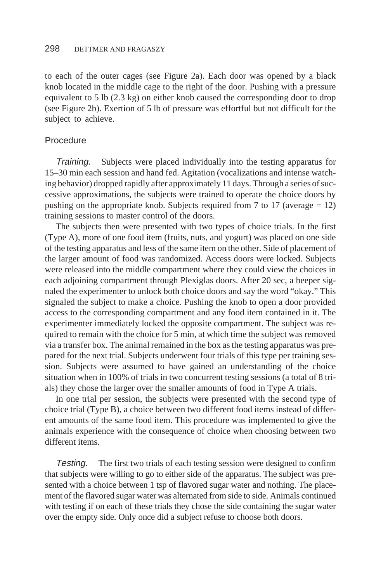to each of the outer cages (see Figure 2a). Each door was opened by a black knob located in the middle cage to the right of the door. Pushing with a pressure equivalent to 5 lb (2.3 kg) on either knob caused the corresponding door to drop (see Figure 2b). Exertion of 5 lb of pressure was effortful but not difficult for the subject to achieve.

#### Procedure

Training. Subjects were placed individually into the testing apparatus for 15–30 min each session and hand fed. Agitation (vocalizations and intense watching behavior) dropped rapidly after approximately 11 days. Through a series of successive approximations, the subjects were trained to operate the choice doors by pushing on the appropriate knob. Subjects required from 7 to 17 (average  $= 12$ ) training sessions to master control of the doors.

The subjects then were presented with two types of choice trials. In the first (Type A), more of one food item (fruits, nuts, and yogurt) was placed on one side of the testing apparatus and less of the same item on the other. Side of placement of the larger amount of food was randomized. Access doors were locked. Subjects were released into the middle compartment where they could view the choices in each adjoining compartment through Plexiglas doors. After 20 sec, a beeper signaled the experimenter to unlock both choice doors and say the word "okay." This signaled the subject to make a choice. Pushing the knob to open a door provided access to the corresponding compartment and any food item contained in it. The experimenter immediately locked the opposite compartment. The subject was required to remain with the choice for 5 min, at which time the subject was removed via a transfer box. The animal remained in the box as the testing apparatus was prepared for the next trial. Subjects underwent four trials of this type per training session. Subjects were assumed to have gained an understanding of the choice situation when in 100% of trials in two concurrent testing sessions (a total of 8 trials) they chose the larger over the smaller amounts of food in Type A trials.

In one trial per session, the subjects were presented with the second type of choice trial (Type B), a choice between two different food items instead of different amounts of the same food item. This procedure was implemented to give the animals experience with the consequence of choice when choosing between two different items.

Testing. The first two trials of each testing session were designed to confirm that subjects were willing to go to either side of the apparatus. The subject was presented with a choice between 1 tsp of flavored sugar water and nothing. The placement of the flavored sugar water was alternated from side to side. Animals continued with testing if on each of these trials they chose the side containing the sugar water over the empty side. Only once did a subject refuse to choose both doors.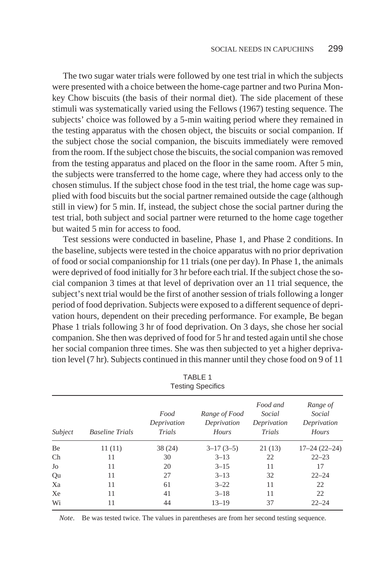The two sugar water trials were followed by one test trial in which the subjects were presented with a choice between the home-cage partner and two Purina Monkey Chow biscuits (the basis of their normal diet). The side placement of these stimuli was systematically varied using the Fellows (1967) testing sequence. The subjects' choice was followed by a 5-min waiting period where they remained in the testing apparatus with the chosen object, the biscuits or social companion. If the subject chose the social companion, the biscuits immediately were removed from the room. If the subject chose the biscuits, the social companion was removed from the testing apparatus and placed on the floor in the same room. After 5 min, the subjects were transferred to the home cage, where they had access only to the chosen stimulus. If the subject chose food in the test trial, the home cage was supplied with food biscuits but the social partner remained outside the cage (although still in view) for 5 min. If, instead, the subject chose the social partner during the test trial, both subject and social partner were returned to the home cage together but waited 5 min for access to food.

Test sessions were conducted in baseline, Phase 1, and Phase 2 conditions. In the baseline, subjects were tested in the choice apparatus with no prior deprivation of food or social companionship for 11 trials (one per day). In Phase 1, the animals were deprived of food initially for 3 hr before each trial. If the subject chose the social companion 3 times at that level of deprivation over an 11 trial sequence, the subject's next trial would be the first of another session of trials following a longer period of food deprivation. Subjects were exposed to a different sequence of deprivation hours, dependent on their preceding performance. For example, Be began Phase 1 trials following 3 hr of food deprivation. On 3 days, she chose her social companion. She then was deprived of food for 5 hr and tested again until she chose her social companion three times. She was then subjected to yet a higher deprivation level (7 hr). Subjects continued in this manner until they chose food on 9 of 11

| <b>Testing Specifics</b> |                        |                               |                                       |                                             |                                            |  |  |  |
|--------------------------|------------------------|-------------------------------|---------------------------------------|---------------------------------------------|--------------------------------------------|--|--|--|
| Subject                  | <b>Baseline Trials</b> | Food<br>Deprivation<br>Trials | Range of Food<br>Deprivation<br>Hours | Food and<br>Social<br>Deprivation<br>Trials | Range of<br>Social<br>Deprivation<br>Hours |  |  |  |
| Be                       | 11(11)                 | 38(24)                        | $3-17(3-5)$                           | 21(13)                                      | $17 - 24(22 - 24)$                         |  |  |  |
| $\rm Ch$                 | 11                     | 30                            | $3 - 13$                              | 22                                          | $22 - 23$                                  |  |  |  |
| Jo                       | 11                     | 20                            | $3 - 15$                              | 11                                          | 17                                         |  |  |  |
| Qu                       | 11                     | 27                            | $3 - 13$                              | 32                                          | $22 - 24$                                  |  |  |  |
| Xa                       | 11                     | 61                            | $3 - 22$                              | 11                                          | 22                                         |  |  |  |
| Xe                       | 11                     | 41                            | $3 - 18$                              | 11                                          | 22                                         |  |  |  |
| Wi                       | 11                     | 44                            | $13 - 19$                             | 37                                          | $22 - 24$                                  |  |  |  |

TABLE 1

*Note*. Be was tested twice. The values in parentheses are from her second testing sequence.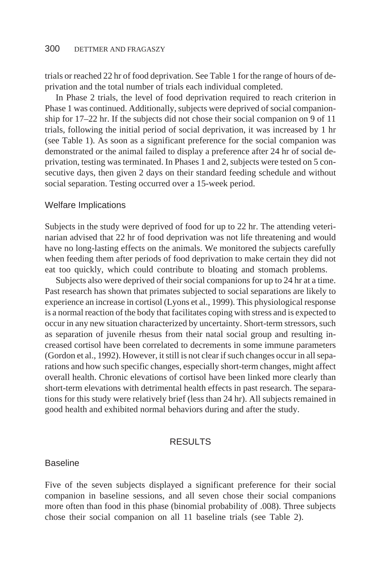trials or reached 22 hr of food deprivation. See Table 1 for the range of hours of deprivation and the total number of trials each individual completed.

In Phase 2 trials, the level of food deprivation required to reach criterion in Phase 1 was continued. Additionally, subjects were deprived of social companionship for 17–22 hr. If the subjects did not chose their social companion on 9 of 11 trials, following the initial period of social deprivation, it was increased by 1 hr (see Table 1). As soon as a significant preference for the social companion was demonstrated or the animal failed to display a preference after 24 hr of social deprivation, testing was terminated. In Phases 1 and 2, subjects were tested on 5 consecutive days, then given 2 days on their standard feeding schedule and without social separation. Testing occurred over a 15-week period.

#### Welfare Implications

Subjects in the study were deprived of food for up to 22 hr. The attending veterinarian advised that 22 hr of food deprivation was not life threatening and would have no long-lasting effects on the animals. We monitored the subjects carefully when feeding them after periods of food deprivation to make certain they did not eat too quickly, which could contribute to bloating and stomach problems.

Subjects also were deprived of their social companions for up to 24 hr at a time. Past research has shown that primates subjected to social separations are likely to experience an increase in cortisol (Lyons et al., 1999). This physiological response is a normal reaction of the body that facilitates coping with stress and is expected to occur in any new situation characterized by uncertainty. Short-term stressors, such as separation of juvenile rhesus from their natal social group and resulting increased cortisol have been correlated to decrements in some immune parameters (Gordon et al., 1992). However, it still is not clear if such changes occur in all separations and how such specific changes, especially short-term changes, might affect overall health. Chronic elevations of cortisol have been linked more clearly than short-term elevations with detrimental health effects in past research. The separations for this study were relatively brief (less than 24 hr). All subjects remained in good health and exhibited normal behaviors during and after the study.

#### **RESULTS**

#### Baseline

Five of the seven subjects displayed a significant preference for their social companion in baseline sessions, and all seven chose their social companions more often than food in this phase (binomial probability of .008). Three subjects chose their social companion on all 11 baseline trials (see Table 2).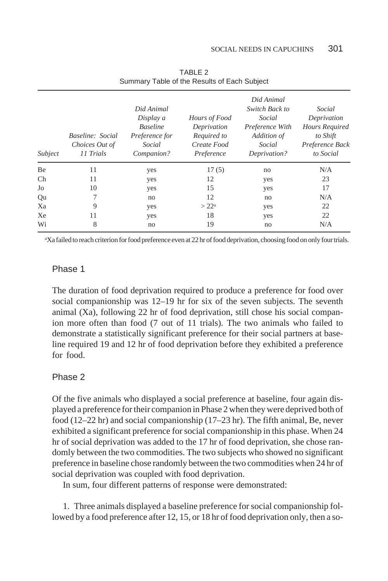| Subject | Baseline: Social<br>Choices Out of<br>11 Trials | Did Animal<br>Display a<br><b>Baseline</b><br>Preference for<br>Social<br>Companion? | Hours of Food<br>Deprivation<br>Required to<br>Create Food<br>Preference | Did Animal<br>Switch Back to<br>Social<br>Preference With<br>Addition of<br>Social<br>Deprivation? | Social<br>Deprivation<br>Hours Required<br>to Shift<br>Preference Back<br>to Social |
|---------|-------------------------------------------------|--------------------------------------------------------------------------------------|--------------------------------------------------------------------------|----------------------------------------------------------------------------------------------------|-------------------------------------------------------------------------------------|
| Be      | 11                                              | yes                                                                                  | 17(5)                                                                    | no                                                                                                 | N/A                                                                                 |
| Ch      | 11                                              | yes                                                                                  | 12                                                                       | yes                                                                                                | 23                                                                                  |
| Jo      | 10                                              | yes                                                                                  | 15                                                                       | yes                                                                                                | 17                                                                                  |
| Qu      | 7                                               | no                                                                                   | 12                                                                       | no                                                                                                 | N/A                                                                                 |
| Xa      | 9                                               | yes                                                                                  | $>22^{\rm a}$                                                            | yes                                                                                                | 22                                                                                  |
| Xe      | 11                                              | yes                                                                                  | 18                                                                       | yes                                                                                                | 22                                                                                  |
| Wi      | 8                                               | no                                                                                   | 19                                                                       | no                                                                                                 | N/A                                                                                 |

TABLE 2 Summary Table of the Results of Each Subject

a Xa failed to reach criterion for food preference even at 22 hr of food deprivation, choosing food on only four trials.

#### Phase 1

The duration of food deprivation required to produce a preference for food over social companionship was 12–19 hr for six of the seven subjects. The seventh animal  $(X_a)$ , following 22 hr of food deprivation, still chose his social companion more often than food (7 out of 11 trials). The two animals who failed to demonstrate a statistically significant preference for their social partners at baseline required 19 and 12 hr of food deprivation before they exhibited a preference for food.

#### Phase 2

Of the five animals who displayed a social preference at baseline, four again displayed a preference for their companion in Phase 2 when they were deprived both of food (12–22 hr) and social companionship (17–23 hr). The fifth animal, Be, never exhibited a significant preference for social companionship in this phase. When 24 hr of social deprivation was added to the 17 hr of food deprivation, she chose randomly between the two commodities. The two subjects who showed no significant preference in baseline chose randomly between the two commodities when 24 hr of social deprivation was coupled with food deprivation.

In sum, four different patterns of response were demonstrated:

1. Three animals displayed a baseline preference for social companionship followed by a food preference after 12, 15, or 18 hr of food deprivation only, then a so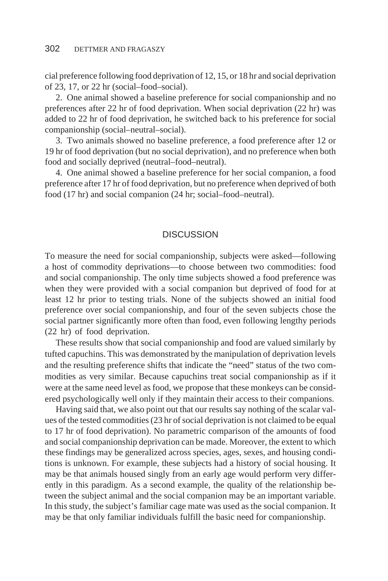cial preference following food deprivation of 12, 15, or 18 hr and social deprivation of 23, 17, or 22 hr (social–food–social).

2. One animal showed a baseline preference for social companionship and no preferences after 22 hr of food deprivation. When social deprivation (22 hr) was added to 22 hr of food deprivation, he switched back to his preference for social companionship (social–neutral–social).

3. Two animals showed no baseline preference, a food preference after 12 or 19 hr of food deprivation (but no social deprivation), and no preference when both food and socially deprived (neutral–food–neutral).

4. One animal showed a baseline preference for her social companion, a food preference after 17 hr of food deprivation, but no preference when deprived of both food (17 hr) and social companion (24 hr; social–food–neutral).

#### **DISCUSSION**

To measure the need for social companionship, subjects were asked—following a host of commodity deprivations—to choose between two commodities: food and social companionship. The only time subjects showed a food preference was when they were provided with a social companion but deprived of food for at least 12 hr prior to testing trials. None of the subjects showed an initial food preference over social companionship, and four of the seven subjects chose the social partner significantly more often than food, even following lengthy periods (22 hr) of food deprivation.

These results show that social companionship and food are valued similarly by tufted capuchins. This was demonstrated by the manipulation of deprivation levels and the resulting preference shifts that indicate the "need" status of the two commodities as very similar. Because capuchins treat social companionship as if it were at the same need level as food, we propose that these monkeys can be considered psychologically well only if they maintain their access to their companions.

Having said that, we also point out that our results say nothing of the scalar values of the tested commodities (23 hr of social deprivation is not claimed to be equal to 17 hr of food deprivation). No parametric comparison of the amounts of food and social companionship deprivation can be made. Moreover, the extent to which these findings may be generalized across species, ages, sexes, and housing conditions is unknown. For example, these subjects had a history of social housing. It may be that animals housed singly from an early age would perform very differently in this paradigm. As a second example, the quality of the relationship between the subject animal and the social companion may be an important variable. In this study, the subject's familiar cage mate was used as the social companion. It may be that only familiar individuals fulfill the basic need for companionship.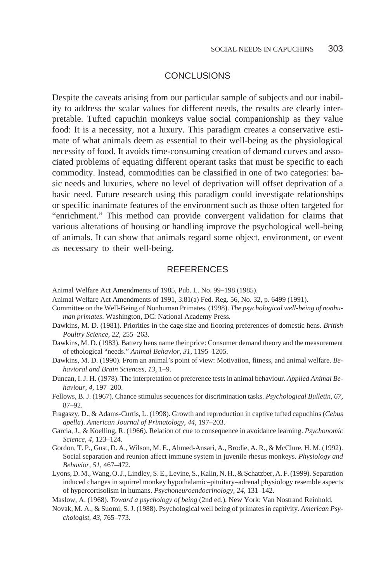## **CONCLUSIONS**

Despite the caveats arising from our particular sample of subjects and our inability to address the scalar values for different needs, the results are clearly interpretable. Tufted capuchin monkeys value social companionship as they value food: It is a necessity, not a luxury. This paradigm creates a conservative estimate of what animals deem as essential to their well-being as the physiological necessity of food. It avoids time-consuming creation of demand curves and associated problems of equating different operant tasks that must be specific to each commodity. Instead, commodities can be classified in one of two categories: basic needs and luxuries, where no level of deprivation will offset deprivation of a basic need. Future research using this paradigm could investigate relationships or specific inanimate features of the environment such as those often targeted for "enrichment." This method can provide convergent validation for claims that various alterations of housing or handling improve the psychological well-being of animals. It can show that animals regard some object, environment, or event as necessary to their well-being.

## **REFERENCES**

Animal Welfare Act Amendments of 1985, Pub. L. No. 99–198 (1985).

- Animal Welfare Act Amendments of 1991, 3.81(a) Fed. Reg. 56, No. 32, p. 6499 (1991).
- Committee on the Well-Being of Nonhuman Primates. (1998). *The psychological well-being of nonhuman primates*. Washington, DC: National Academy Press.
- Dawkins, M. D. (1981). Priorities in the cage size and flooring preferences of domestic hens. *British Poultry Science, 22,* 255–263.
- Dawkins, M. D. (1983). Battery hens name their price: Consumer demand theory and the measurement of ethological "needs." *Animal Behavior, 31,* 1195–1205.
- Dawkins, M. D. (1990). From an animal's point of view: Motivation, fitness, and animal welfare. *Behavioral and Brain Sciences, 13,* 1–9.
- Duncan, I. J. H. (1978). The interpretation of preference tests in animal behaviour. *Applied Animal Behaviour, 4,* 197–200.
- Fellows, B. J. (1967). Chance stimulus sequences for discrimination tasks. *Psychological Bulletin, 67,* 87–92.
- Fragaszy, D., & Adams-Curtis, L. (1998). Growth and reproduction in captive tufted capuchins (*Cebus apella*). *American Journal of Primatology, 44,* 197–203.
- Garcia, J., & Koelling, R. (1966). Relation of cue to consequence in avoidance learning. *Psychonomic Science, 4,* 123–124.
- Gordon, T. P., Gust, D. A., Wilson, M. E., Ahmed-Ansari, A., Brodie, A. R., & McClure, H. M. (1992). Social separation and reunion affect immune system in juvenile rhesus monkeys. *Physiology and Behavior, 51,* 467–472.
- Lyons, D. M., Wang, O. J., Lindley, S. E., Levine, S., Kalin, N. H., & Schatzber, A. F. (1999). Separation induced changes in squirrel monkey hypothalamic–pituitary–adrenal physiology resemble aspects of hypercortisolism in humans. *Psychoneuroendocrinology, 24,* 131–142.

Maslow, A. (1968). *Toward a psychology of being* (2nd ed.). New York: Van Nostrand Reinhold.

Novak, M. A., & Suomi, S. J. (1988). Psychological well being of primates in captivity. *American Psychologist, 43,* 765–773.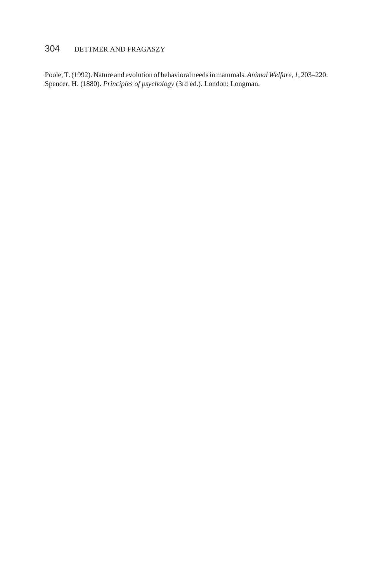# 304 DETTMER AND FRAGASZY

Poole, T. (1992). Nature and evolution of behavioral needs in mammals.*Animal Welfare, 1,* 203–220. Spencer, H. (1880). *Principles of psychology* (3rd ed.). London: Longman.